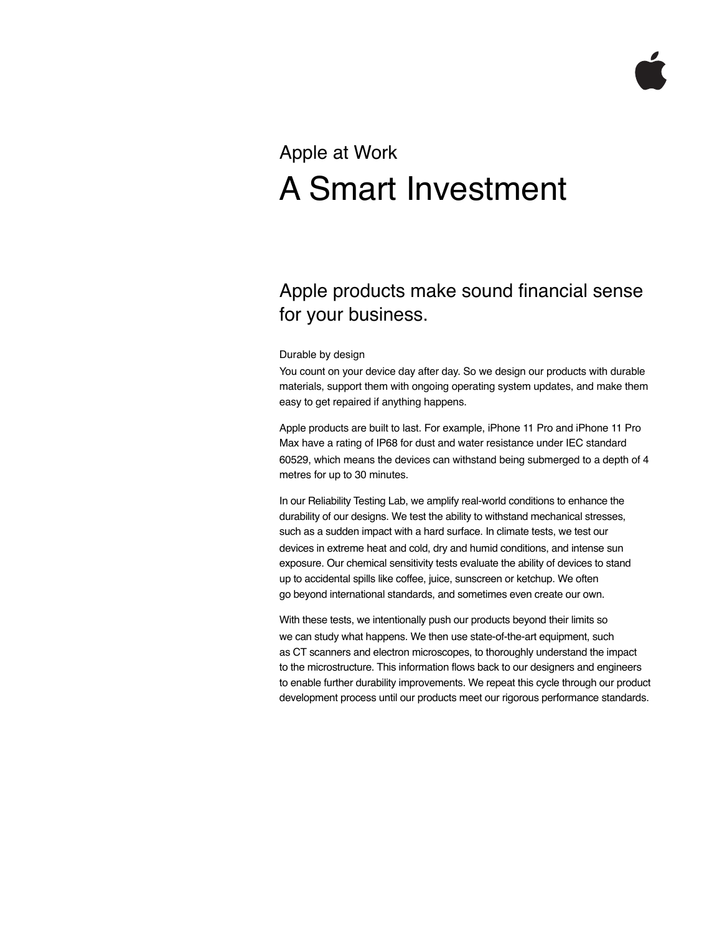# Apple at Work A Smart Investment

## Apple products make sound financial sense for your business.

### Durable by design

You count on your device day after day. So we design our products with durable materials, support them with ongoing operating system updates, and make them easy to get repaired if anything happens.

Apple products are built to last. For example, iPhone 11 Pro and iPhone 11 Pro Max have a rating of IP68 for dust and water resistance under IEC standard 60529, which means the devices can withstand being submerged to a depth of 4 metres for up to 30 minutes.

In our Reliability Testing Lab, we amplify real-world conditions to enhance the durability of our designs. We test the ability to withstand mechanical stresses, such as a sudden impact with a hard surface. In climate tests, we test our devices in extreme heat and cold, dry and humid conditions, and intense sun exposure. Our chemical sensitivity tests evaluate the ability of devices to stand up to accidental spills like coffee, juice, sunscreen or ketchup. We often go beyond international standards, and sometimes even create our own.

With these tests, we intentionally push our products beyond their limits so we can study what happens. We then use state-of-the-art equipment, such as CT scanners and electron microscopes, to thoroughly understand the impact to the microstructure. This information flows back to our designers and engineers to enable further durability improvements. We repeat this cycle through our product development process until our products meet our rigorous performance standards.